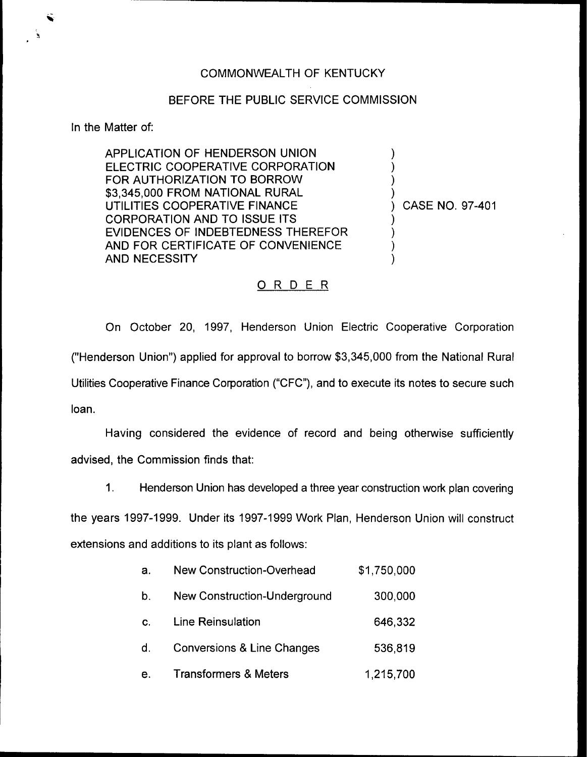## BEFORE THE PUBLIC SERViCE COMMISSION

In the Matter of:

APPLICATION OF HENDERSON UNION ELECTRIC COOPERATIVE CORPORATION FOR AUTHORIZATION TO BORROW \$3,345,000 FROM NATIONAL RURAl UTILITIES COOPERATIVE FINANCE CORPORATION AND TO ISSUE ITS EVIDENCES OF INDEBTEDNESS THEREFOR AND FOR CERTIFICATE OF CONVENIENCE AND NECESSITY

) CASE NO. 97-401

) ) ) )

) ) ) )

## 0 <sup>R</sup> <sup>D</sup> <sup>E</sup> <sup>R</sup>

On October 20, 1997, Henderson Union Electric Cooperative Corporation ("Henderson Union") applied for approval to borrow \$3,345,000 from the National Rural Utilities Cooperative Finance Corporation ("CFC"), and to execute its notes to secure such loan.

Having considered the evidence of record and being otherwise sufficiently advised, the Commission finds that:

 $\mathbf{1}$ . Henderson Union has developed a three year construction work plan covering

the years 1997-1999. Under its 1997-1999Work Plan, Henderson Union will construct extensions and additions to its plant as follows:

| a. | <b>New Construction-Overhead</b>    | \$1,750,000 |
|----|-------------------------------------|-------------|
| b. | <b>New Construction-Underground</b> | 300,000     |
| C. | Line Reinsulation                   | 646,332     |
| d. | Conversions & Line Changes          | 536,819     |
| е. | <b>Transformers &amp; Meters</b>    | 1,215,700   |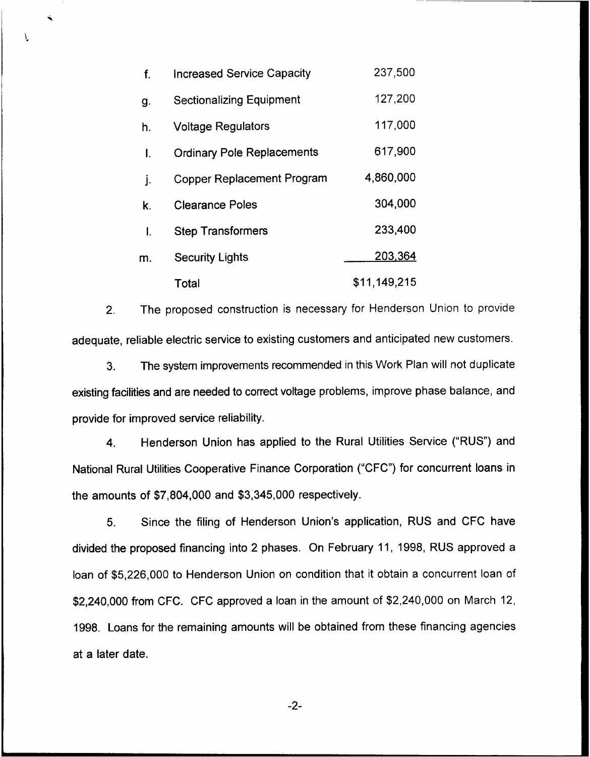| f. | <b>Increased Service Capacity</b> | 237,500      |
|----|-----------------------------------|--------------|
| g. | <b>Sectionalizing Equipment</b>   | 127,200      |
| h. | <b>Voltage Regulators</b>         | 117,000      |
| I. | <b>Ordinary Pole Replacements</b> | 617,900      |
| j. | <b>Copper Replacement Program</b> | 4,860,000    |
| k. | <b>Clearance Poles</b>            | 304,000      |
| I. | <b>Step Transformers</b>          | 233,400      |
| m. | <b>Security Lights</b>            | 203,364      |
|    | Total                             | \$11,149,215 |

T

2. The proposed construction is necessary for Henderson Union to provide adequate, reliable electric service to existing customers and anticipated new customers.

3. The system improvements recommended in this Work Plan will not duplicate existing facilities and are needed to correct voltage problems, improve phase balance, and provide for improved service reliability.

4. Henderson Union has applied to the Rural Utilities Service ("RUS") and National Rural Utilities Cooperative Finance Corporation ("CFC") for concurrent loans in the amounts of \$7,804,000 and \$3;345,000 respectively.

5. Since the filing of Henderson Union's application, RUS and CFC have divided the proposed financing into 2 phases. On February 11, 1998, RUS approved a loan of \$5,226,000 to Henderson Union on condition that it obtain a concurrent loan of \$2,240,000 from CFC. CFC approved a loan in the amount of \$2,240,000 on March 12, 1998. Loans for the remaining amounts will be obtained from these financing agencies at a later date.

 $-2-$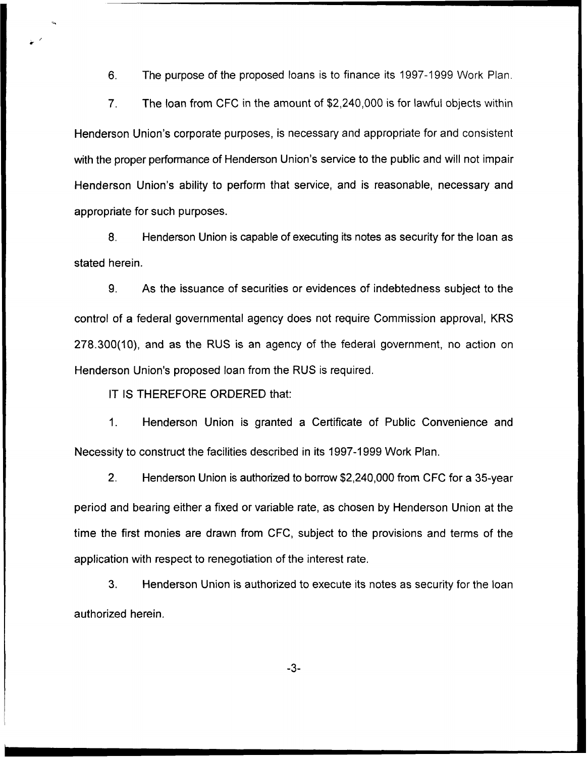6. The purpose of the proposed loans is to finance its 1997-1999 Work Plan.

7. The loan from CFC in the amount of \$2,240,000 is for lawful objects within Henderson Union's corporate purposes, is necessary and appropriate for and consistent with the proper performance of Henderson Union's service to the public and will not impair Henderson Union's ability to perform that service, and is reasonable, necessary and appropriate for such purposes.

8. Henderson Union is capable of executing its notes as security for the loan as stated herein.

9. As the issuance of securities or evidences of indebtedness subject to the control of a federal governmental agency does not require Commission approval, KRS 278.300(10), and as the RUS is an agency of the federal government, no action on Henderson Union's proposed loan from the RUS is required.

IT IS THEREFORE ORDERED that:

1. Henderson Union is granted a Certificate of Public Convenience and Necessity to construct the facilities described in its 1997-1999Work Plan.

2. Henderson Union is authorized to borrow \$2,240,000 from CFC for a 35-year period and bearing either a fixed or variable rate, as chosen by Henderson Union at the time the first monies are drawn from CFC, subject to the provisions and terms of the application with respect to renegotiation of the interest rate.

3. Henderson Union is authorized to execute its notes as security for the loan authorized herein.

 $-3-$